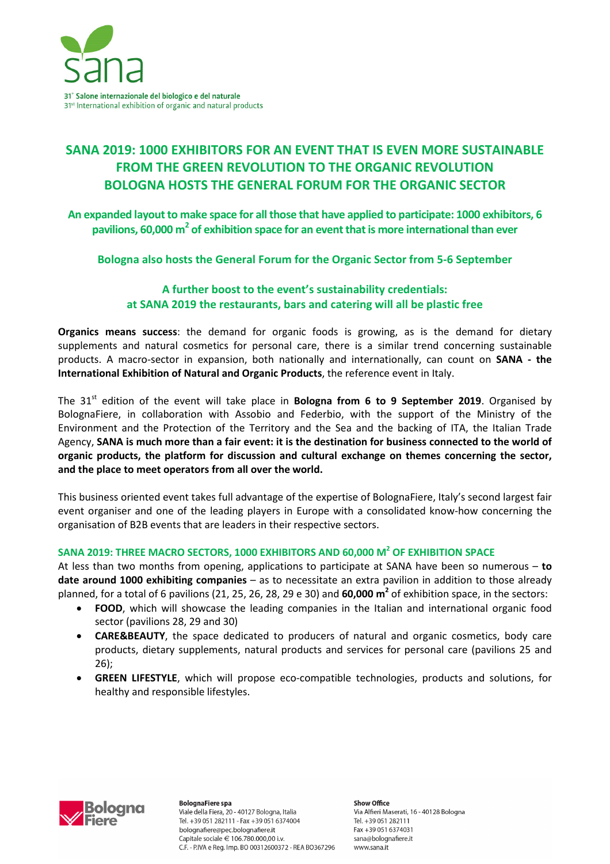

# **SANA 2019: 1000 EXHIBITORS FOR AN EVENT THAT IS EVEN MORE SUSTAINABLE FROM THE GREEN REVOLUTION TO THE ORGANIC REVOLUTION BOLOGNA HOSTS THE GENERAL FORUM FOR THE ORGANIC SECTOR**

**An expanded layout to make space for all those that have applied to participate: 1000 exhibitors, 6 pavilions, 60,000 m<sup>2</sup> of exhibition space for an event that is more international than ever** 

**Bologna also hosts the General Forum for the Organic Sector from 5-6 September** 

# **A further boost to the event's sustainability credentials: at SANA 2019 the restaurants, bars and catering will all be plastic free**

**Organics means success**: the demand for organic foods is growing, as is the demand for dietary supplements and natural cosmetics for personal care, there is a similar trend concerning sustainable products. A macro-sector in expansion, both nationally and internationally, can count on **SANA - the International Exhibition of Natural and Organic Products**, the reference event in Italy.

The 31<sup>st</sup> edition of the event will take place in **Bologna from 6 to 9 September 2019**. Organised by BolognaFiere, in collaboration with Assobio and Federbio, with the support of the Ministry of the Environment and the Protection of the Territory and the Sea and the backing of ITA, the Italian Trade Agency, **SANA is much more than a fair event: it is the destination for business connected to the world of organic products, the platform for discussion and cultural exchange on themes concerning the sector, and the place to meet operators from all over the world.** 

This business oriented event takes full advantage of the expertise of BolognaFiere, Italy's second largest fair event organiser and one of the leading players in Europe with a consolidated know-how concerning the organisation of B2B events that are leaders in their respective sectors.

## **SANA 2019: THREE MACRO SECTORS, 1000 EXHIBITORS AND 60,000 M<sup>2</sup> OF EXHIBITION SPACE**

At less than two months from opening, applications to participate at SANA have been so numerous – **to date around 1000 exhibiting companies** – as to necessitate an extra pavilion in addition to those already planned, for a total of 6 pavilions (21, 25, 26, 28, 29 e 30) and **60,000 m<sup>2</sup>** of exhibition space, in the sectors:

- **FOOD**, which will showcase the leading companies in the Italian and international organic food sector (pavilions 28, 29 and 30)
- **CARE&BEAUTY**, the space dedicated to producers of natural and organic cosmetics, body care products, dietary supplements, natural products and services for personal care (pavilions 25 and 26);
- **GREEN LIFESTYLE**, which will propose eco-compatible technologies, products and solutions, for healthy and responsible lifestyles.



**BolognaFiere spa** Viale della Fiera, 20 - 40127 Bologna, Italia Tel. +39 051 282111 - Fax +39 051 6374004 bolognafiere@pec.bolognafiere.it Capitale sociale € 106.780.000,00 i.v. C.F. - P.IVA e Reg. Imp. BO 00312600372 - REA BO367296

Show Office Via Alfieri Maserati, 16 - 40128 Bologna Tel. +39 051 282111 Fax +39 051 6374031 sana@bolognafiere.it www.sana.it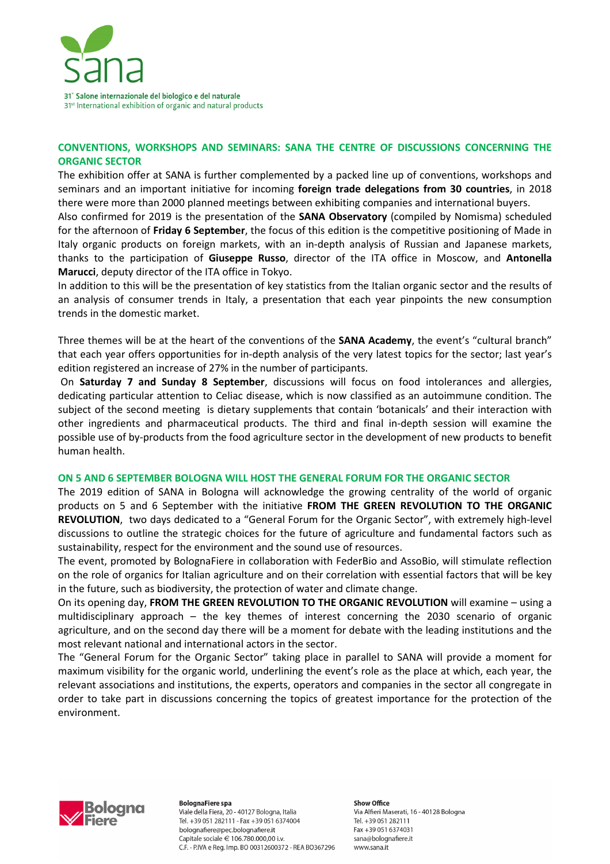

## **CONVENTIONS, WORKSHOPS AND SEMINARS: SANA THE CENTRE OF DISCUSSIONS CONCERNING THE ORGANIC SECTOR**

The exhibition offer at SANA is further complemented by a packed line up of conventions, workshops and seminars and an important initiative for incoming **foreign trade delegations from 30 countries**, in 2018 there were more than 2000 planned meetings between exhibiting companies and international buyers.

Also confirmed for 2019 is the presentation of the **SANA Observatory** (compiled by Nomisma) scheduled for the afternoon of **Friday 6 September**, the focus of this edition is the competitive positioning of Made in Italy organic products on foreign markets, with an in-depth analysis of Russian and Japanese markets, thanks to the participation of **Giuseppe Russo**, director of the ITA office in Moscow, and **Antonella Marucci**, deputy director of the ITA office in Tokyo.

In addition to this will be the presentation of key statistics from the Italian organic sector and the results of an analysis of consumer trends in Italy, a presentation that each year pinpoints the new consumption trends in the domestic market.

Three themes will be at the heart of the conventions of the **SANA Academy**, the event's "cultural branch" that each year offers opportunities for in-depth analysis of the very latest topics for the sector; last year's edition registered an increase of 27% in the number of participants.

 On **Saturday 7 and Sunday 8 September**, discussions will focus on food intolerances and allergies, dedicating particular attention to Celiac disease, which is now classified as an autoimmune condition. The subject of the second meeting is dietary supplements that contain 'botanicals' and their interaction with other ingredients and pharmaceutical products. The third and final in-depth session will examine the possible use of by-products from the food agriculture sector in the development of new products to benefit human health.

### **ON 5 AND 6 SEPTEMBER BOLOGNA WILL HOST THE GENERAL FORUM FOR THE ORGANIC SECTOR**

The 2019 edition of SANA in Bologna will acknowledge the growing centrality of the world of organic products on 5 and 6 September with the initiative **FROM THE GREEN REVOLUTION TO THE ORGANIC REVOLUTION**, two days dedicated to a "General Forum for the Organic Sector", with extremely high-level discussions to outline the strategic choices for the future of agriculture and fundamental factors such as sustainability, respect for the environment and the sound use of resources.

The event, promoted by BolognaFiere in collaboration with FederBio and AssoBio, will stimulate reflection on the role of organics for Italian agriculture and on their correlation with essential factors that will be key in the future, such as biodiversity, the protection of water and climate change.

On its opening day, **FROM THE GREEN REVOLUTION TO THE ORGANIC REVOLUTION** will examine – using a multidisciplinary approach – the key themes of interest concerning the 2030 scenario of organic agriculture, and on the second day there will be a moment for debate with the leading institutions and the most relevant national and international actors in the sector.

The "General Forum for the Organic Sector" taking place in parallel to SANA will provide a moment for maximum visibility for the organic world, underlining the event's role as the place at which, each year, the relevant associations and institutions, the experts, operators and companies in the sector all congregate in order to take part in discussions concerning the topics of greatest importance for the protection of the environment.



**BolognaFiere spa** Viale della Fiera, 20 - 40127 Bologna, Italia Tel. +39 051 282111 - Fax +39 051 6374004 bolognafiere@pec.bolognafiere.it Capitale sociale € 106.780.000,00 i.v. C.F. - P.IVA e Reg. Imp. BO 00312600372 - REA BO367296 **Show Office** Via Alfieri Maserati, 16 - 40128 Bologna Tel. +39 051 282111 Fax +39 051 6374031 sana@bolognafiere.it www.sana.it